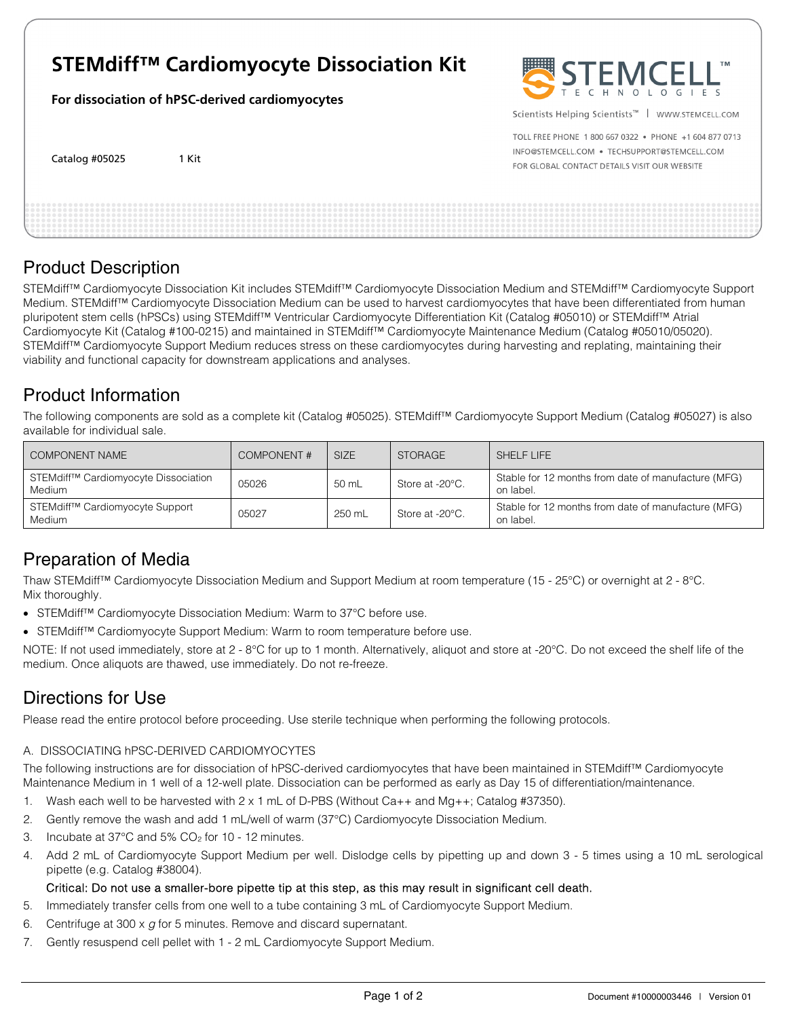# **STEMdiff™ Cardiomyocyte Dissociation Kit**

**For dissociation of hPSC-derived cardiomyocytes** 

Catalog #05025 1 Kit



Scientists Helping Scientists™ | WWW.STEMCELL.COM

TOLL FREE PHONE 1 800 667 0322 . PHONE +1 604 877 0713 INFO@STEMCELL.COM . TECHSUPPORT@STEMCELL.COM FOR GLOBAL CONTACT DETAILS VISIT OUR WEBSITE

### Product Description

STEMdiff™ Cardiomyocyte Dissociation Kit includes STEMdiff™ Cardiomyocyte Dissociation Medium and STEMdiff™ Cardiomyocyte Support Medium. STEMdiff™ Cardiomyocyte Dissociation Medium can be used to harvest cardiomyocytes that have been differentiated from human pluripotent stem cells (hPSCs) using STEMdiff™ Ventricular Cardiomyocyte Differentiation Kit (Catalog #05010) or STEMdiff™ Atrial Cardiomyocyte Kit (Catalog #100-0215) and maintained in STEMdiff™ Cardiomyocyte Maintenance Medium (Catalog #05010/05020). STEMdiff™ Cardiomyocyte Support Medium reduces stress on these cardiomyocytes during harvesting and replating, maintaining their viability and functional capacity for downstream applications and analyses.

## Product Information

The following components are sold as a complete kit (Catalog #05025). STEMdiff™ Cardiomyocyte Support Medium (Catalog #05027) is also available for individual sale.

| COMPONENT NAME                                                    | COMPONENT# | <b>SIZE</b> | <b>STORAGE</b>  | SHELF LIFE                                                       |
|-------------------------------------------------------------------|------------|-------------|-----------------|------------------------------------------------------------------|
| STEMdiff <sup>™</sup> Cardiomyocyte Dissociation<br><b>Medium</b> | 05026      | 50 mL       | Store at -20°C. | Stable for 12 months from date of manufacture (MFG)<br>on label. |
| STEMdiff <sup>™</sup> Cardiomyocyte Support<br><b>Medium</b>      | 05027      | 250 mL      | Store at -20°C. | Stable for 12 months from date of manufacture (MFG)<br>on label. |

## Preparation of Media

Thaw STEMdiff™ Cardiomyocyte Dissociation Medium and Support Medium at room temperature (15 - 25°C) or overnight at 2 - 8°C. Mix thoroughly.

- STEMdiff™ Cardiomyocyte Dissociation Medium: Warm to 37°C before use.
- STEMdiff™ Cardiomyocyte Support Medium: Warm to room temperature before use.

NOTE: If not used immediately, store at 2 - 8°C for up to 1 month. Alternatively, aliquot and store at -20°C. Do not exceed the shelf life of the medium. Once aliquots are thawed, use immediately. Do not re-freeze.

## Directions for Use

Please read the entire protocol before proceeding. Use sterile technique when performing the following protocols.

### A. DISSOCIATING hPSC-DERIVED CARDIOMYOCYTES

The following instructions are for dissociation of hPSC-derived cardiomyocytes that have been maintained in STEMdiff™ Cardiomyocyte Maintenance Medium in 1 well of a 12-well plate. Dissociation can be performed as early as Day 15 of differentiation/maintenance.

- 1. Wash each well to be harvested with 2 x 1 mL of D-PBS (Without Ca++ and Mg++; Catalog #37350).
- 2. Gently remove the wash and add 1 mL/well of warm (37°C) Cardiomyocyte Dissociation Medium.
- 3. Incubate at  $37^{\circ}$ C and  $5\%$  CO<sub>2</sub> for 10 12 minutes.
- 4. Add 2 mL of Cardiomyocyte Support Medium per well. Dislodge cells by pipetting up and down 3 5 times using a 10 mL serological pipette (e.g. Catalog #38004).

#### Critical: Do not use a smaller-bore pipette tip at this step, as this may result in significant cell death.

- 5. Immediately transfer cells from one well to a tube containing 3 mL of Cardiomyocyte Support Medium.
- 6. Centrifuge at 300  $\times$  g for 5 minutes. Remove and discard supernatant.
- 7. Gently resuspend cell pellet with 1 2 mL Cardiomyocyte Support Medium.